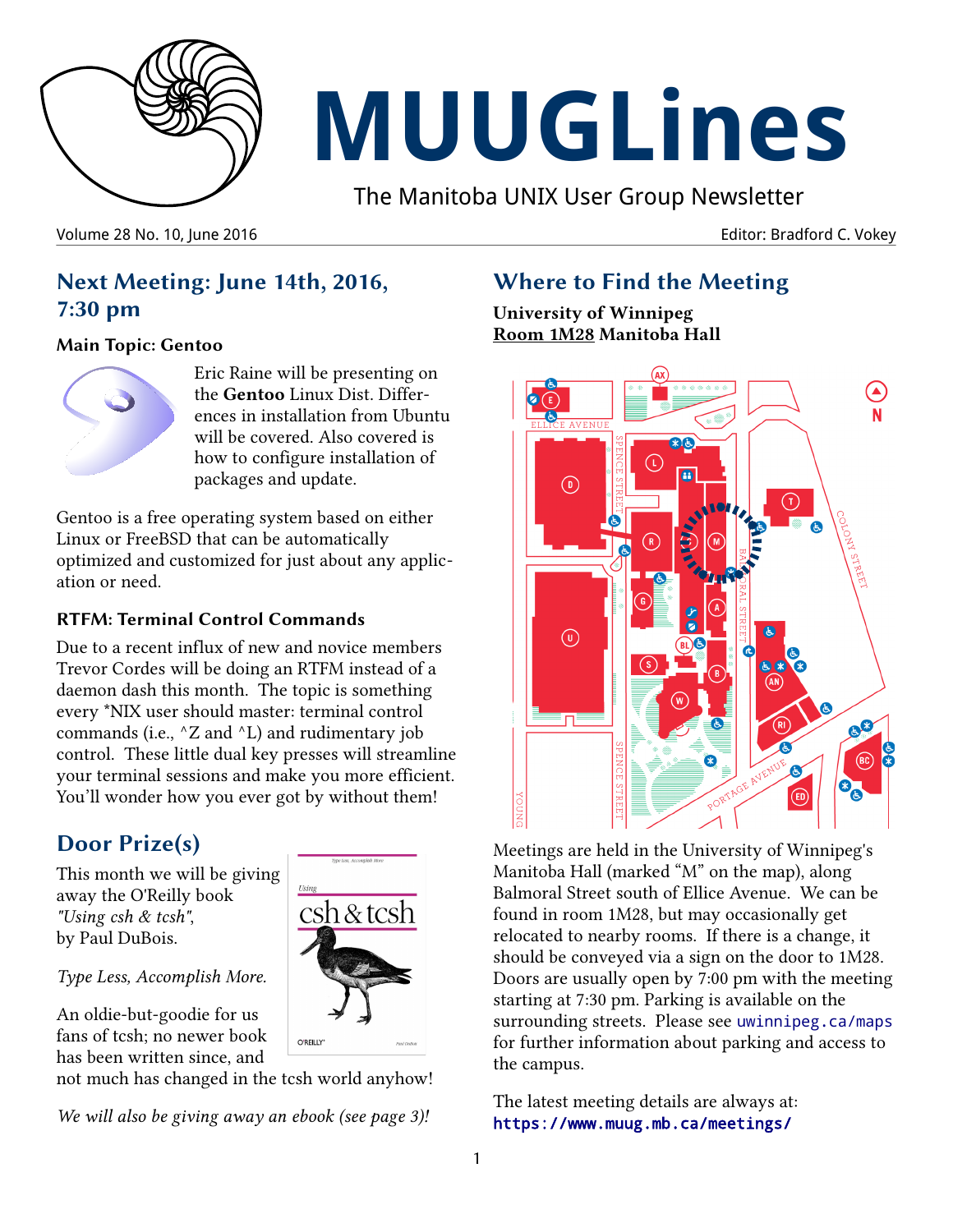

# **MUUGLines**

The Manitoba UNIX User Group Newsletter

Volume 28 No. 10, June 2016 **Editor: Bradford C. Vokey Editor: Bradford C. Vokey** 

**Next Meeting: June 14th, 2016, 7:30 pm**

#### **Main Topic: Gentoo**



Eric Raine will be presenting on the **Gentoo** Linux Dist. Differences in installation from Ubuntu will be covered. Also covered is how to configure installation of packages and update.

Gentoo is a free operating system based on either Linux or FreeBSD that can be automatically optimized and customized for just about any application or need.

#### **RTFM: Terminal Control Commands**

Due to a recent influx of new and novice members Trevor Cordes will be doing an RTFM instead of a daemon dash this month. The topic is something every \*NIX user should master: terminal control commands (i.e.,  $^{\wedge}Z$  and  $^{\wedge}L$ ) and rudimentary job control. These little dual key presses will streamline your terminal sessions and make you more efficient. You'll wonder how you ever got by without them!

# **Door Prize(s)**

This month we will be giving away the O'Reilly book *"Using csh & tcsh"*, by Paul DuBois.

#### *Type Less, Accomplish More.*

An oldie-but-goodie for us fans of tcsh; no newer book has been written since, and

not much has changed in the tcsh world anyhow!

*We will also be giving away an ebook (see page 3)!*

# **Where to Find the Meeting**

**University of Winnipeg Room 1M28 Manitoba Hall**



Meetings are held in the University of Winnipeg's Manitoba Hall (marked "M" on the map), along Balmoral Street south of Ellice Avenue. We can be found in room 1M28, but may occasionally get relocated to nearby rooms. If there is a change, it should be conveyed via a sign on the door to 1M28. Doors are usually open by 7:00 pm with the meeting starting at 7:30 pm. Parking is available on the surrounding streets. Please see [uwinnipeg.ca/maps](http://www.uwinnipeg.ca/maps) for further information about parking and access to the campus.

The latest meeting details are always at: <https://www.muug.mb.ca/meetings/>

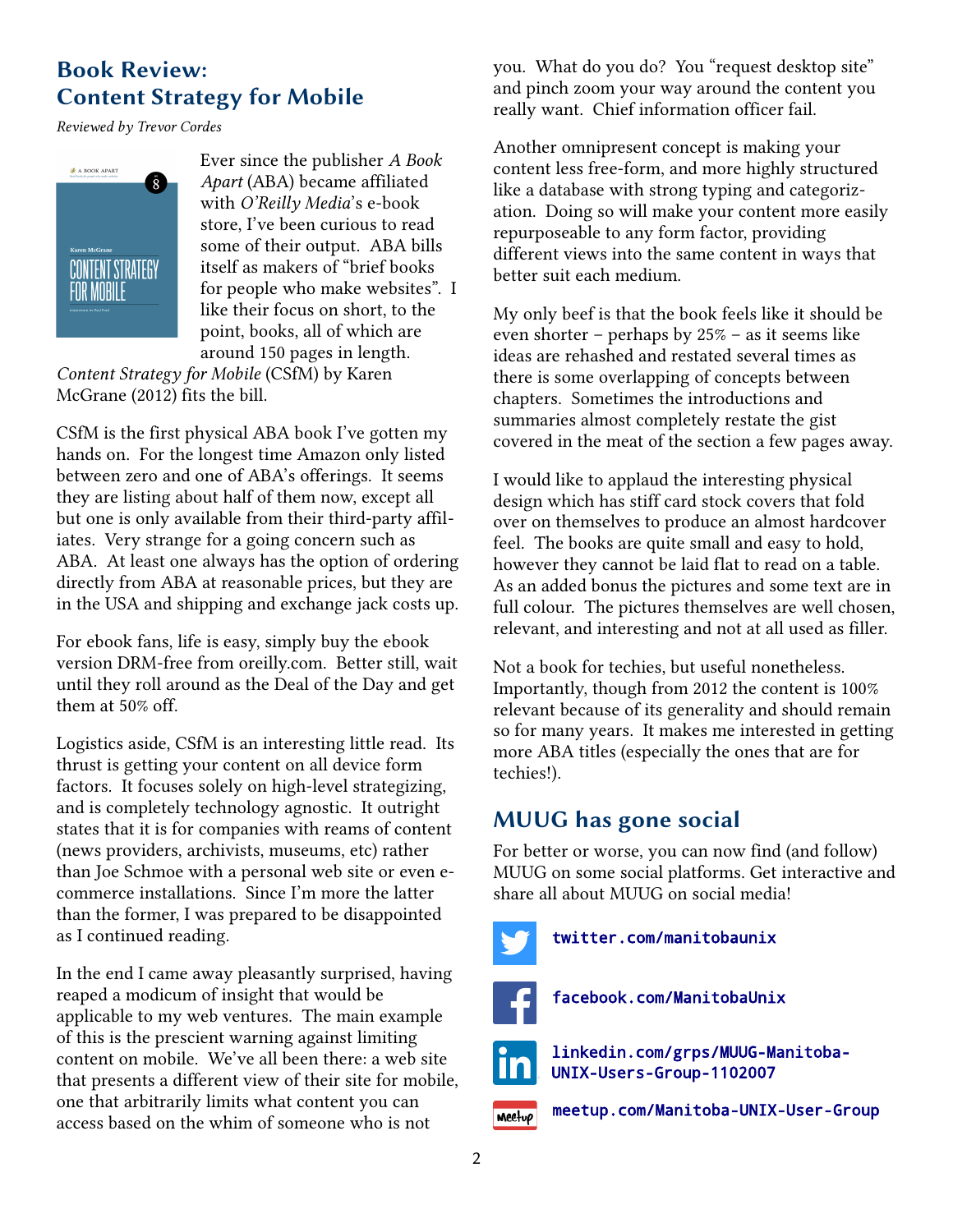# **Book Review: Content Strategy for Mobile**

*Reviewed by Trevor Cordes*



Ever since the publisher *A Book Apart* (ABA) became affiliated with *O'Reilly Media*'s e-book store, I've been curious to read some of their output. ABA bills itself as makers of "brief books for people who make websites". I like their focus on short, to the point, books, all of which are around 150 pages in length.

*Content Strategy for Mobile* (CSfM) by Karen McGrane (2012) fits the bill.

CSfM is the first physical ABA book I've gotten my hands on. For the longest time Amazon only listed between zero and one of ABA's offerings. It seems they are listing about half of them now, except all but one is only available from their third-party affiliates. Very strange for a going concern such as ABA. At least one always has the option of ordering directly from ABA at reasonable prices, but they are in the USA and shipping and exchange jack costs up.

For ebook fans, life is easy, simply buy the ebook version DRM-free from oreilly.com. Better still, wait until they roll around as the Deal of the Day and get them at 50% off.

Logistics aside, CSfM is an interesting little read. Its thrust is getting your content on all device form factors. It focuses solely on high-level strategizing, and is completely technology agnostic. It outright states that it is for companies with reams of content (news providers, archivists, museums, etc) rather than Joe Schmoe with a personal web site or even ecommerce installations. Since I'm more the latter than the former, I was prepared to be disappointed as I continued reading.

In the end I came away pleasantly surprised, having reaped a modicum of insight that would be applicable to my web ventures. The main example of this is the prescient warning against limiting content on mobile. We've all been there: a web site that presents a different view of their site for mobile, one that arbitrarily limits what content you can access based on the whim of someone who is not

you. What do you do? You "request desktop site" and pinch zoom your way around the content you really want. Chief information officer fail.

Another omnipresent concept is making your content less free-form, and more highly structured like a database with strong typing and categorization. Doing so will make your content more easily repurposeable to any form factor, providing different views into the same content in ways that better suit each medium.

My only beef is that the book feels like it should be even shorter – perhaps by 25% – as it seems like ideas are rehashed and restated several times as there is some overlapping of concepts between chapters. Sometimes the introductions and summaries almost completely restate the gist covered in the meat of the section a few pages away.

I would like to applaud the interesting physical design which has stiff card stock covers that fold over on themselves to produce an almost hardcover feel. The books are quite small and easy to hold, however they cannot be laid flat to read on a table. As an added bonus the pictures and some text are in full colour. The pictures themselves are well chosen, relevant, and interesting and not at all used as filler.

Not a book for techies, but useful nonetheless. Importantly, though from 2012 the content is 100% relevant because of its generality and should remain so for many years. It makes me interested in getting more ABA titles (especially the ones that are for techies!).

# **MUUG has gone social**

For better or worse, you can now find (and follow) MUUG on some social platforms. Get interactive and share all about MUUG on social media!



[twitter.com/manitobaunix](https://twitter.com/manitobaunix)

[facebook.com/ManitobaUnix](https://www.facebook.com/ManitobaUnix)

[linkedin.com/grps/MUUG-Manitoba-](https://www.linkedin.com/grps/MUUG-Manitoba-UNIX-Users-Group-1102007/about?)[UNIX-Users-Group-1102007](https://www.linkedin.com/grps/MUUG-Manitoba-UNIX-Users-Group-1102007/about?)

[meetup.com/Manitoba-UNIX-User-Group](http://www.meetup.com/Manitoba-UNIX-User-Group/) **Meetup**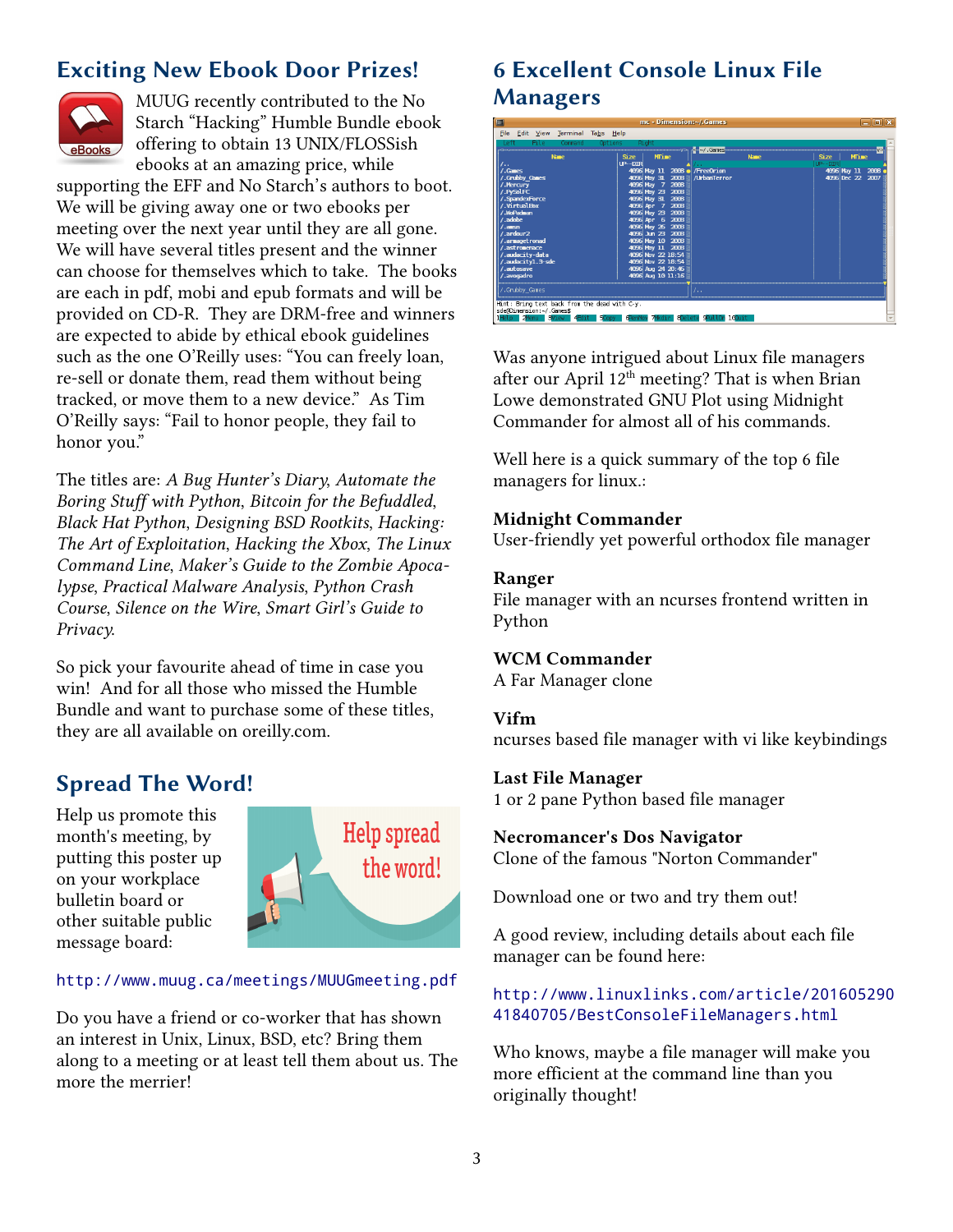# **Exciting New Ebook Door Prizes!**



MUUG recently contributed to the No Starch "Hacking" Humble Bundle ebook offering to obtain 13 UNIX/FLOSSish ebooks at an amazing price, while

supporting the EFF and No Starch's authors to boot. We will be giving away one or two ebooks per meeting over the next year until they are all gone. We will have several titles present and the winner can choose for themselves which to take. The books are each in pdf, mobi and epub formats and will be provided on CD-R. They are DRM-free and winners are expected to abide by ethical ebook guidelines such as the one O'Reilly uses: "You can freely loan, re-sell or donate them, read them without being tracked, or move them to a new device." As Tim O'Reilly says: "Fail to honor people, they fail to honor you."

The titles are: *A Bug Hunter's Diary*, *Automate the Boring Stuff with Python*, *Bitcoin for the Befuddled*, *Black Hat Python*, *Designing BSD Rootkits*, *Hacking: The Art of Exploitation*, *Hacking the Xbox*, *The Linux Command Line*, *Maker's Guide to the Zombie Apocalypse*, *Practical Malware Analysis*, *Python Crash Course*, *Silence on the Wire*, *Smart Girl's Guide to Privacy*.

So pick your favourite ahead of time in case you win! And for all those who missed the Humble Bundle and want to purchase some of these titles, they are all available on oreilly.com.

# **Spread The Word!**

Help us promote this month's meeting, by putting this poster up on your workplace bulletin board or other suitable public message board:



#### [http://www.muug.ca/meetings/MUUGmeeting.pdf](http://www.muug.mb.ca/meetings/MUUGmeeting.pdf)

Do you have a friend or co-worker that has shown an interest in Unix, Linux, BSD, etc? Bring them along to a meeting or at least tell them about us. The more the merrier!

# **6 Excellent Console Linux File Managers**

| <b>ES</b>                                                                                                                                                                                                                                                   | $mc + 0$ <i>incusion</i> , $\gamma$ , vancs                                                                                                                                                                                                                                                                                                                 |                              | $-100\,$                               |
|-------------------------------------------------------------------------------------------------------------------------------------------------------------------------------------------------------------------------------------------------------------|-------------------------------------------------------------------------------------------------------------------------------------------------------------------------------------------------------------------------------------------------------------------------------------------------------------------------------------------------------------|------------------------------|----------------------------------------|
| File Edit View Terminal Tabs Help                                                                                                                                                                                                                           |                                                                                                                                                                                                                                                                                                                                                             |                              |                                        |
| Left<br>File<br>Command<br>Options                                                                                                                                                                                                                          | Right                                                                                                                                                                                                                                                                                                                                                       | $\leq$ ~/. Games             | $v \approx$                            |
| <b>Name</b><br>$\vert$                                                                                                                                                                                                                                      | <b>MTime</b><br><b>Size</b><br>LP--DIR                                                                                                                                                                                                                                                                                                                      | <b>Name</b>                  | <b>Size</b><br><b>MTime</b><br>LP--DIR |
| $/$ . Games<br>/.Grubby Games<br>/. Hercury<br>/.PySolFC<br>/.SpandexForce<br>/.VirtualBox<br>/.WoPadman<br>/.adobe<br>$\sqrt{2}$ anson<br>/.ardour2<br>/.armagetronad<br>/.astronomace<br>/.audacity-data<br>/.audacity1.3-sde<br>/.autosave<br>/.avogadro | 4096 May 11 2008 a / FreeOrion<br>4096 May 31 2008 / / UrbanTerror<br>4096 May 7 2008<br>4096 May 23 2008<br>4096 May 31 2008<br>4096 Apr 7 2008<br>4096 May 23 2008<br>4096 Apr 6 2008<br>4096 May 26 2008<br>4096 Jun 23 2008<br>4096 May 10 2008<br>4096 May 11 2008<br>4096 Nov 22 18:54<br>4096 Nov 22 18:54<br>4096 Aug 24 20:46<br>4096 Aug 10 11:16 |                              | 4096 May 11 2008<br>4096 Dec 22 2007   |
| /.Grubby Games                                                                                                                                                                                                                                              |                                                                                                                                                                                                                                                                                                                                                             | 7. .                         |                                        |
| Hint: Bring text back from the dead with C-y.<br>sde@Dimension:~/.Games\$                                                                                                                                                                                   |                                                                                                                                                                                                                                                                                                                                                             |                              |                                        |
| <b>SCopy</b>                                                                                                                                                                                                                                                | <b>CRenMov</b>                                                                                                                                                                                                                                                                                                                                              | Mkdir 8Delete 9PullDn 100uit |                                        |

Was anyone intrigued about Linux file managers after our April  $12<sup>th</sup>$  meeting? That is when Brian Lowe demonstrated GNU Plot using Midnight Commander for almost all of his commands.

Well here is a quick summary of the top 6 file managers for linux.:

#### **Midnight Commander**

User-friendly yet powerful orthodox file manager

#### **Ranger**

File manager with an ncurses frontend written in Python

#### **WCM Commander**

A Far Manager clone

#### **Vifm**

ncurses based file manager with vi like keybindings

#### **Last File Manager**

1 or 2 pane Python based file manager

### **Necromancer's Dos Navigator**

Clone of the famous "Norton Commander"

Download one or two and try them out!

A good review, including details about each file manager can be found here:

#### [http://www.linuxlinks.com/article/201605290](http://www.linuxlinks.com/article/20160529041840705/BestConsoleFileManagers.html) [41840705/BestConsoleFileManagers.html](http://www.linuxlinks.com/article/20160529041840705/BestConsoleFileManagers.html)

Who knows, maybe a file manager will make you more efficient at the command line than you originally thought!